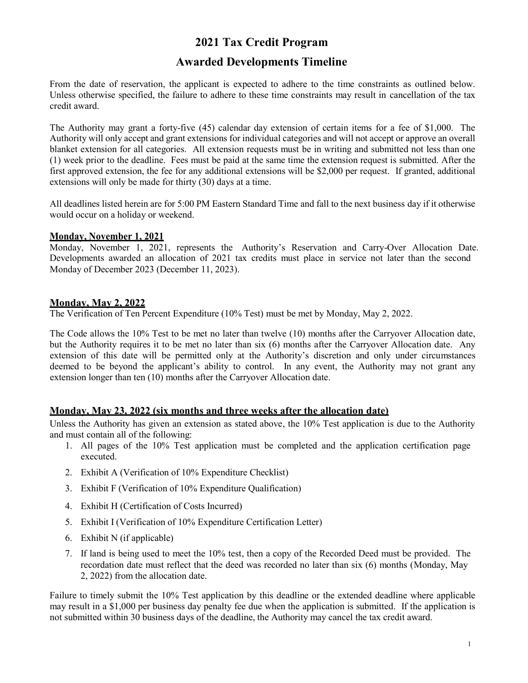# **2021 Tax Credit Program**

## **Awarded Developments Timeline**

From the date of reservation, the applicant is expected to adhere to the time constraints as outlined below. Unless otherwise specified, the failure to adhere to these time constraints may result in cancellation of the tax credit award.

The Authority may grant a forty-five (45) calendar day extension of certain items for a fee of \$1,000. The Authority will only accept and grant extensions for individual categories and will not accept or approve an overall blanket extension for all categories. All extension requests must be in writing and submitted not less than one (1) week prior to the deadline. Fees must be paid at the same time the extension request is submitted. After the first approved extension, the fee for any additional extensions will be \$2,000 per request. If granted, additional extensions will only be made for thirty (30) days at a time.

All deadlines listed herein are for 5:00 PM Eastern Standard Time and fall to the next business day if it otherwise would occur on a holiday or weekend.

#### **Monday, November 1, 2021**

Monday, November 1, 2021, represents the Authority's Reservation and Carry-Over Allocation Date. Developments awarded an allocation of 2021 tax credits must place in service not later than the second Monday of December 2023 (December 11, 2023).

## **Monday, May 2, 2022**

The Verification of Ten Percent Expenditure (10% Test) must be met by Monday, May 2, 2022.

The Code allows the 10% Test to be met no later than twelve (10) months after the Carryover Allocation date, but the Authority requires it to be met no later than six (6) months after the Carryover Allocation date. Any extension of this date will be permitted only at the Authority's discretion and only under circumstances deemed to be beyond the applicant's ability to control. In any event, the Authority may not grant any extension longer than ten (10) months after the Carryover Allocation date.

## **Monday, May 23, 2022 (six months and three weeks after the allocation date)**

Unless the Authority has given an extension as stated above, the 10% Test application is due to the Authority and must contain all of the following:

- 1. All pages of the 10% Test application must be completed and the application certification page executed.
- 2. Exhibit A (Verification of 10% Expenditure Checklist)
- 3. Exhibit F (Verification of 10% Expenditure Qualification)
- 4. Exhibit H (Certification of Costs Incurred)
- 5. Exhibit I (Verification of 10% Expenditure Certification Letter)
- 6. Exhibit N (if applicable)
- 7. If land is being used to meet the 10% test, then a copy of the Recorded Deed must be provided. The recordation date must reflect that the deed was recorded no later than six (6) months (Monday, May 2, 2022) from the allocation date.

Failure to timely submit the 10% Test application by this deadline or the extended deadline where applicable may result in a \$1,000 per business day penalty fee due when the application is submitted. If the application is not submitted within 30 business days of the deadline, the Authority may cancel the tax credit award.